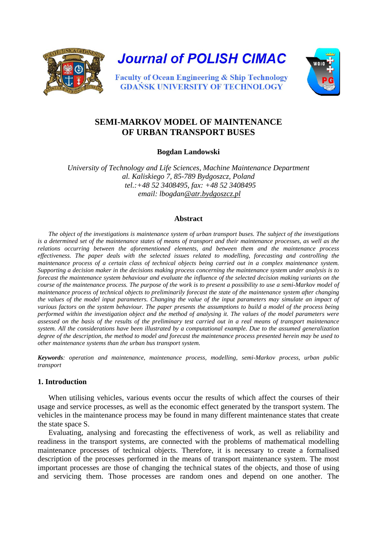

**Journal of POLISH CIMAC** 



**Faculty of Ocean Engineering & Ship Technology GDANSK UNIVERSITY OF TECHNOLOGY** 

# **SEMI-MARKOV MODEL OF MAINTENANCE OF URBAN TRANSPORT BUSES**

**Bogdan Landowski** 

*University of Technology and Life Sciences, Machine Maintenance Department al. Kaliskiego 7, 85-789 Bydgoszcz, Poland tel.:+48 52 3408495, fax: +48 52 3408495 email: lbogda[n@atr.bydgoszcz.pl](mailto:perkol@atr.bydgoszcz.pl)*

# **Abstract**

*The object of the investigations is maintenance system of urban transport buses. The subject of the investigations is a determined set of the maintenance states of means of transport and their maintenance processes, as well as the relations occurring between the aforementioned elements, and between them and the maintenance process effectiveness. The paper deals with the selected issues related to modelling, forecasting and controlling the maintenance process of a certain class of technical objects being carried out in a complex maintenance system. Supporting a decision maker in the decisions making process concerning the maintenance system under analysis is to forecast the maintenance system behaviour and evaluate the influence of the selected decision making variants on the course of the maintenance process. The purpose of the work is to present a possibility to use a semi-Markov model of maintenance process of technical objects to preliminarily forecast the state of the maintenance system after changing the values of the model input parameters. Changing the value of the input parameters may simulate an impact of various factors on the system behaviour. The paper presents the assumptions to build a model of the process being performed within the investigation object and the method of analysing it. The values of the model parameters were assessed on the basis of the results of the preliminary test carried out in a real means of transport maintenance system. All the considerations have been illustrated by a computational example. Due to the assumed generalization degree of the description, the method to model and forecast the maintenance process presented herein may be used to other maintenance systems than the urban bus transport system.*

*Keywords: operation and maintenance, maintenance process, modelling, semi-Markov process, urban public transport*

# **1. Introduction**

When utilising vehicles, various events occur the results of which affect the courses of their usage and service processes, as well as the economic effect generated by the transport system. The vehicles in the maintenance process may be found in many different maintenance states that create the state space S.

Evaluating, analysing and forecasting the effectiveness of work, as well as reliability and readiness in the transport systems, are connected with the problems of mathematical modelling maintenance processes of technical objects. Therefore, it is necessary to create a formalised description of the processes performed in the means of transport maintenance system. The most important processes are those of changing the technical states of the objects, and those of using and servicing them. Those processes are random ones and depend on one another. The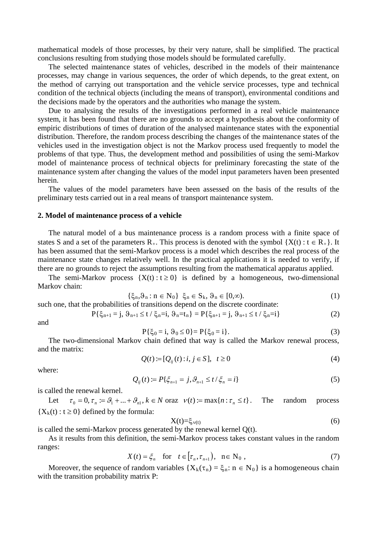mathematical models of those processes, by their very nature, shall be simplified. The practical conclusions resulting from studying those models should be formulated carefully.

The selected maintenance states of vehicles, described in the models of their maintenance processes, may change in various sequences, the order of which depends, to the great extent, on the method of carrying out transportation and the vehicle service processes, type and technical condition of the technical objects (including the means of transport), environmental conditions and the decisions made by the operators and the authorities who manage the system.

Due to analysing the results of the investigations performed in a real vehicle maintenance system, it has been found that there are no grounds to accept a hypothesis about the conformity of empiric distributions of times of duration of the analysed maintenance states with the exponential distribution. Therefore, the random process describing the changes of the maintenance states of the vehicles used in the investigation object is not the Markov process used frequently to model the problems of that type. Thus, the development method and possibilities of using the semi-Markov model of maintenance process of technical objects for preliminary forecasting the state of the maintenance system after changing the values of the model input parameters haven been presented herein.

The values of the model parameters have been assessed on the basis of the results of the preliminary tests carried out in a real means of transport maintenance system.

#### **2. Model of maintenance process of a vehicle**

The natural model of a bus maintenance process is a random process with a finite space of states S and a set of the parameters  $R_{+}$ . This process is denoted with the symbol  $\{X(t): t \in R_{+}\}\$ . It has been assumed that the semi-Markov process is a model which describes the real process of the maintenance state changes relatively well. In the practical applications it is needed to verify, if there are no grounds to reject the assumptions resulting from the mathematical apparatus applied.

The semi-Markov process  $\{X(t): t \geq 0\}$  is defined by a homogeneous, two-dimensional Markov chain:

$$
\{\xi_n, \vartheta_n : n \in N_0\} \xi_n \in S_k, \vartheta_n \in [0, \infty). \tag{1}
$$

such one, that the probabilities of transitions depend on the discrete coordinate:

$$
P\{\xi_{n+1}=j,\,\vartheta_{n+1}\leq t\ /\ \xi_n=i,\,\vartheta_n=t_n\}=P\{\xi_{n+1}=j,\,\vartheta_{n+1}\leq t\ /\ \xi_n=i\}\tag{2}
$$

and

$$
P\{\xi_0 = i, \vartheta_0 \le 0\} = P\{\xi_0 = i\}.
$$
 (3)

The two-dimensional Markov chain defined that way is called the Markov renewal process, and the matrix:

$$
Q(t) := [Q_{ij}(t) : i, j \in S], \quad t \ge 0
$$
\n
$$
(4)
$$

where:

$$
Q_{ij}(t) := P\{\xi_{n+1} = j, \vartheta_{n+1} \le t/\xi_n = i\}
$$
\n(5)

is called the renewal kernel.

Let  $\tau_0 = 0, \tau_n := \mathcal{G}_1 + ... + \mathcal{G}_n, k \in N$  oraz  $v(t) := \max\{n : \tau_n \le t\}.$  The random process  ${X<sub>k</sub>(t) : t \ge 0}$  defined by the formula:

$$
X(t)=\xi_{v(t)}\tag{6}
$$

is called the semi-Markov process generated by the renewal kernel Q(t).

As it results from this definition, the semi-Markov process takes constant values in the random ranges:

$$
X(t) = \xi_n \quad \text{for} \quad t \in [\tau_n, \tau_{n+1}), \quad n \in \mathbb{N}_0,
$$
\n
$$
(7)
$$

Moreover, the sequence of random variables  $\{X_k(\tau_n) = \xi_n : n \in N_0\}$  is a homogeneous chain with the transition probability matrix P: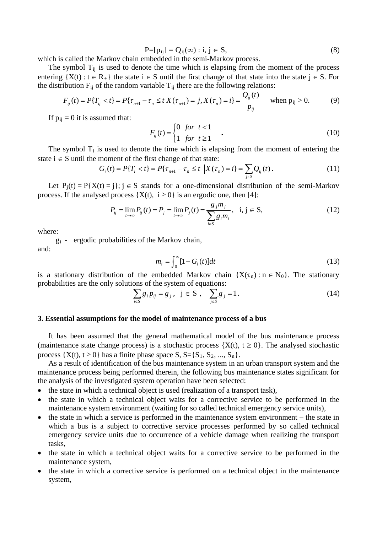$$
P=[p_{ij}]=Q_{ij}(\infty): i,j \in S,
$$
\n(8)

which is called the Markov chain embedded in the semi-Markov process.

The symbol  $T_{ii}$  is used to denote the time which is elapsing from the moment of the process entering  $\{X(t): t \in R_+\}$  the state  $i \in S$  until the first change of that state into the state  $j \in S$ . For the distribution  $F_{ij}$  of the random variable  $T_{ij}$  there are the following relations:

$$
F_{ij}(t) = P\{T_{ij} < t\} = P\{\tau_{n+1} - \tau_n \le t \mid X(\tau_{n+1}) = j, X(\tau_n) = i\} = \frac{Q_{ij}(t)}{p_{ij}} \quad \text{when } p_{ij} > 0. \tag{9}
$$

If  $p_{ij} = 0$  it is assumed that:

$$
F_{ij}(t) = \begin{cases} 0 & \text{for } t < 1 \\ 1 & \text{for } t \ge 1 \end{cases}
$$
 (10)

The symbol  $T_i$  is used to denote the time which is elapsing from the moment of entering the state  $i \in S$  until the moment of the first change of that state:

$$
G_i(t) = P\{T_i < t\} = P\{\tau_{n+1} - \tau_n \le t \ \big| X(\tau_n) = i\} = \sum_{j \in S} Q_{ij}(t). \tag{11}
$$

Let  $P_i(t) = P\{X(t) = i\}$ ;  $i \in S$  stands for a one-dimensional distribution of the semi-Markov process. If the analysed process  $\{X(t), i \ge 0\}$  is an ergodic one, then [4]:

$$
P_{ij} = \lim_{t \to \infty} P_{ij}(t) = P_j = \lim_{t \to \infty} P_j(t) = \frac{g_j m_j}{\sum_{i \in S} g_i m_i}, \quad i, j \in S,
$$
 (12)

where:

gi - ergodic probabilities of the Markov chain, and:

$$
m_i = \int_0^\infty [1 - G_i(t)] dt \tag{13}
$$

is a stationary distribution of the embedded Markov chain  $\{X(\tau_n): n \in N_0\}$ . The stationary probabilities are the only solutions of the system of equations:

$$
\sum_{i \in S} g_i p_{ij} = g_j, \ \ j \in S \ , \quad \sum_{j \in S} g_j = 1. \tag{14}
$$

#### **3. Essential assumptions for the model of maintenance process of a bus**

It has been assumed that the general mathematical model of the bus maintenance process (maintenance state change process) is a stochastic process  $\{X(t), t \ge 0\}$ . The analysed stochastic process  $\{X(t), t \ge 0\}$  has a finite phase space  $S, S = \{S_1, S_2, ..., S_n\}$ .

As a result of identification of the bus maintenance system in an urban transport system and the maintenance process being performed therein, the following bus maintenance states significant for the analysis of the investigated system operation have been selected:

- the state in which a technical object is used (realization of a transport task),
- the state in which a technical object waits for a corrective service to be performed in the maintenance system environment (waiting for so called technical emergency service units),
- the state in which a service is performed in the maintenance system environment the state in which a bus is a subject to corrective service processes performed by so called technical emergency service units due to occurrence of a vehicle damage when realizing the transport tasks,
- the state in which a technical object waits for a corrective service to be performed in the maintenance system,
- the state in which a corrective service is performed on a technical object in the maintenance system,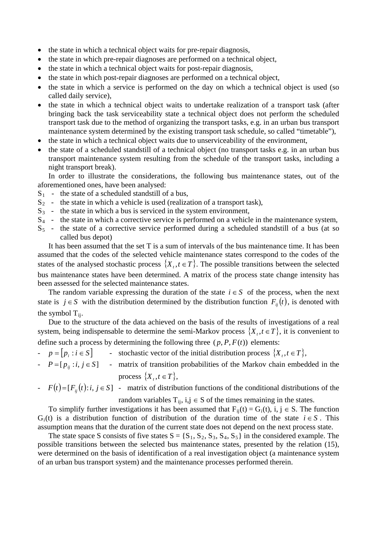- the state in which a technical object waits for pre-repair diagnosis,
- the state in which pre-repair diagnoses are performed on a technical object,
- the state in which a technical object waits for post-repair diagnosis,
- the state in which post-repair diagnoses are performed on a technical object,
- the state in which a service is performed on the day on which a technical object is used (so called daily service),
- the state in which a technical object waits to undertake realization of a transport task (after bringing back the task serviceability state a technical object does not perform the scheduled transport task due to the method of organizing the transport tasks, e.g. in an urban bus transport maintenance system determined by the existing transport task schedule, so called "timetable"),
- the state in which a technical object waits due to unserviceability of the environment,
- the state of a scheduled standstill of a technical object (no transport tasks e.g. in an urban bus transport maintenance system resulting from the schedule of the transport tasks, including a night transport break).

In order to illustrate the considerations, the following bus maintenance states, out of the aforementioned ones, have been analysed:

- $S_1$  the state of a scheduled standstill of a bus,
- $S_2$  the state in which a vehicle is used (realization of a transport task),
- $S_3$  the state in which a bus is serviced in the system environment,
- S<sub>4</sub> the state in which a corrective service is performed on a vehicle in the maintenance system,
- S 5 the state of a corrective service performed during a scheduled standstill of a bus (at so called bus depot)

It has been assumed that the set T is a sum of intervals of the bus maintenance time. It has been assumed that the codes of the selected vehicle maintenance states correspond to the codes of the states of the analysed stochastic process  $\{X_t, t \in T\}$ . The possible transitions between the selected bus maintenance states have been determined. A matrix of the process state change intensity has been assessed for the selected maintenance states.

The random variable expressing the duration of the state  $i \in S$  of the process, when the next state is  $j \in S$  with the distribution determined by the distribution function  $F_{ij}(t)$ , is denoted with the symbol  $T_{ij}$ .

Due to the structure of the data achieved on the basis of the results of investigations of a real system, being indispensable to determine the semi-Markov process  $\{X_t, t \in T\}$ , it is convenient to define such a process by determining the following three  $(p, P, F(t))$  elements:

- $\cdot$   $p = [ p_i : i \in S ]$  stochastic vector of the initial distribution process  $\{ X_i, i \in T \}$ ,
- $P = [p_{ij} : i, j \in S]$  matrix of transition probabilities of the Markov chain embedded in the process  $\{X_t, t \in T\},\$
- $F(t) = [F_{ij}(t):i, j \in S]$  matrix of distribution functions of the conditional distributions of the random variables  $T_{ij}$ , i,j  $\in S$  of the times remaining in the states.

To simplify further investigations it has been assumed that  $F_{ij}(t) = G_i(t)$ , i,  $j \in S$ . The function  $G_i(t)$  is a distribution function of distribution of the duration time of the state  $i \in S$ . This assumption means that the duration of the current state does not depend on the next process state.

The state space S consists of five states  $S = \{S_1, S_2, S_3, S_4, S_5\}$  in the considered example. The possible transitions between the selected bus maintenance states, presented by the relation (15), were determined on the basis of identification of a real investigation object (a maintenance system of an urban bus transport system) and the maintenance processes performed therein.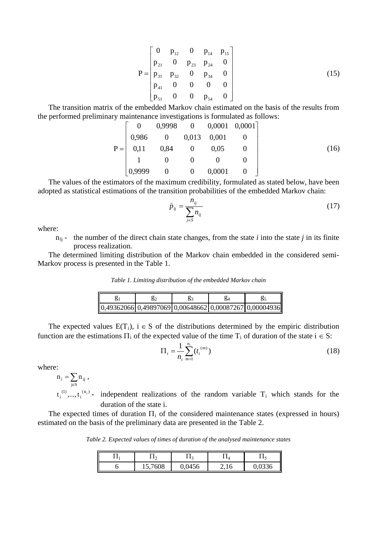$$
P = \begin{bmatrix} 0 & p_{12} & 0 & p_{14} & p_{15} \\ p_{21} & 0 & p_{23} & p_{24} & 0 \\ p_{31} & p_{32} & 0 & p_{34} & 0 \\ p_{41} & 0 & 0 & 0 & 0 \\ p_{51} & 0 & 0 & p_{54} & 0 \end{bmatrix}
$$
(15)

The transition matrix of the embedded Markov chain estimated on the basis of the results from the performed preliminary maintenance investigations is formulated as follows:

$$
P = \begin{bmatrix} 0 & 0.9998 & 0 & 0.0001 & 0.0001 \\ 0.986 & 0 & 0.013 & 0.001 & 0 \\ 0.11 & 0.84 & 0 & 0.05 & 0 \\ 1 & 0 & 0 & 0 & 0 \\ 0.9999 & 0 & 0 & 0.0001 & 0 \end{bmatrix}
$$
(16)

The values of the estimators of the maximum credibility, formulated as stated below, have been adopted as statistical estimations of the transition probabilities of the embedded Markov chain:

$$
\hat{p}_{ij} = \frac{n_{ij}}{\sum_{j \in S} n_{ij}} \tag{17}
$$

where:

 $n_{ij}$  - the number of the direct chain state changes, from the state *i* into the state *j* in its finite process realization.

The determined limiting distribution of the Markov chain embedded in the considered semi-Markov process is presented in the Table 1.

*Table 1. Limiting distribution of the embedded Markov chain*

| $[0,49362066]0,49897069]0,00648662[0,00087267]0,00004936]$ |  |  |
|------------------------------------------------------------|--|--|

The expected values  $E(T_i)$ ,  $i \in S$  of the distributions determined by the empiric distribution function are the estimations  $\Pi_i$  of the expected value of the time  $T_i$  of duration of the state  $i \in S$ :

$$
\Pi_i = \frac{1}{n_i} \sum_{m=1}^{n_i} (t_i^{(m)})
$$
\n(18)

where:

$$
n_{i} = \sum_{j \in S} n_{ij} ,
$$

 $(n_i)$ i  $t_i^{(1)},..., t_i^{(n_i)}$  - independent realizations of the random variable  $T_i$  which stands for the duration of the state i.

The expected times of duration  $\Pi_i$  of the considered maintenance states (expressed in hours) estimated on the basis of the preliminary data are presented in the Table 2.

*Table 2. Expected values of times of duration of the analysed maintenance states* 

| . . | $\overline{\phantom{a}}$ | 1 J.   |      |
|-----|--------------------------|--------|------|
|     | 5,7608                   | 0.0456 | 1330 |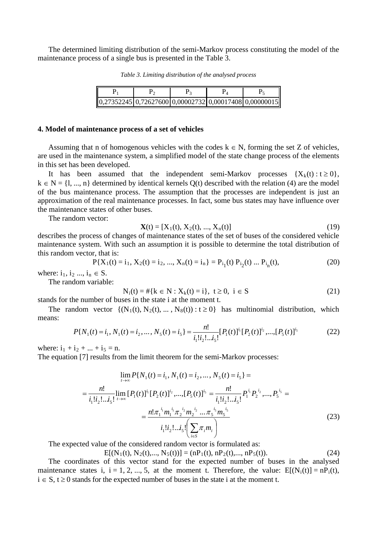The determined limiting distribution of the semi-Markov process constituting the model of the maintenance process of a single bus is presented in the Table 3.

*Table 3. Limiting distribution of the analysed process* 

| $[0,27352245]$ 0,72627600 0,00002732 0,00017408 0,00000015 |  |  |
|------------------------------------------------------------|--|--|

#### **4. Model of maintenance process of a set of vehicles**

Assuming that n of homogenous vehicles with the codes  $k \in N$ , forming the set Z of vehicles, are used in the maintenance system, a simplified model of the state change process of the elements in this set has been developed.

It has been assumed that the independent semi-Markov processes  $\{X_k(t): t \geq 0\}$ ,  $k \in N = \{1, ..., n\}$  determined by identical kernels  $Q(t)$  described with the relation (4) are the model of the bus maintenance process. The assumption that the processes are independent is just an approximation of the real maintenance processes. In fact, some bus states may have influence over the maintenance states of other buses.

The random vector:

$$
\mathbf{X}(t) = [X_1(t), X_2(t), ..., X_n(t)]
$$
\n(19)

describes the process of changes of maintenance states of the set of buses of the considered vehicle maintenance system. With such an assumption it is possible to determine the total distribution of this random vector, that is:

$$
P{X1(t) = i1, X2(t) = i2, ..., Xn(t) = in} = Pi1(t) Pi2(t) ... Pin(t),
$$
\n(20)

where:  $i_1, i_2, ..., i_n \in S$ .

The random variable:

$$
N_i(t) = #\{k \in N : X_k(t) = i\}, \ t \ge 0, \ i \in S
$$
 (21)

stands for the number of buses in the state i at the moment t.

The random vector  $\{ (N_1(t), N_2(t), ..., N_8(t)) : t \ge 0 \}$  has multinomial distribution, which means:

$$
P\{N_1(t) = i_1, N_1(t) = i_2, \dots, N_5(t) = i_5\} = \frac{n!}{i_1! i_2! \dots i_5!} [P_1(t)]^{i_1} [P_2(t)]^{i_2} \dots, [P_5(t)]^{i_5}
$$
(22)

where:  $i_1 + i_2 + ... + i_5 = n$ .

The equation [7] results from the limit theorem for the semi-Markov processes:

$$
\lim_{t \to \infty} P\{N_1(t) = i_1, N_1(t) = i_2, ..., N_5(t) = i_5\} =
$$
\n
$$
= \frac{n!}{i_1! i_2! ... i_5!} \lim_{t \to \infty} [P_1(t)]^{i_1} [P_2(t)]^{i_2} ..... [P_5(t)]^{i_5} = \frac{n!}{i_1! i_2! ... i_5!} P_1^{i_1} P_2^{i_2} ..... P_5^{i_5} =
$$
\n
$$
= \frac{n! \pi_1^{i_1} m_1^{i_1} \pi_2^{i_2} m_2^{i_2} ... \pi_5^{i_5} m_5^{i_5}}{i_1! i_2! ... i_5!} \left( \sum_{i \in S} \pi_i m_i \right)
$$
\n(23)

The expected value of the considered random vector is formulated as:

$$
E[(N_1(t), N_2(t), ..., N_5(t))] = (nP_1(t), nP_2(t), ..., nP_5(t)).
$$
\n(24)

The coordinates of this vector stand for the expected number of buses in the analysed maintenance states i,  $i = 1, 2, ..., 5$ , at the moment t. Therefore, the value:  $E[N_i(t)] = nP_i(t)$ ,  $i \in S$ ,  $t \ge 0$  stands for the expected number of buses in the state i at the moment t.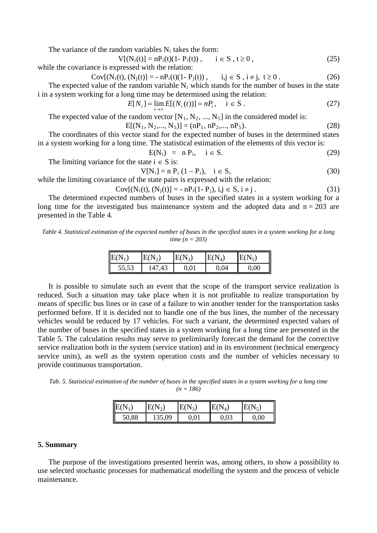The variance of the random variables  $N_i$  takes the form:

$$
V[(N_i(t)] = nP_i(t)(1 - P_i(t)), \t i \in S, t \ge 0,
$$
\n(25)

while the covariance is expressed with the relation:

$$
Cov[(N_i(t), (N_j(t)) = -nP_i(t)(1 - P_j(t)), \quad i, j \in S, i \neq j, t \geq 0. \tag{26}
$$

The expected value of the random variable  $N_i$  which stands for the number of buses in the state i in a system working for a long time may be determined using the relation:

$$
E[N_i] = \lim_{t \to \infty} E[(N_i(t))] = nP_i, \quad i \in S.
$$
 (27)

The expected value of the random vector  $[N_1, N_2, ..., N_5]$  in the considered model is:

$$
E[(N_1, N_2, ..., N_5)] = (nP_1, nP_2, ..., nP_5).
$$
\n(28)

The coordinates of this vector stand for the expected number of buses in the determined states in a system working for a long time. The statistical estimation of the elements of this vector is:

$$
E(N_i) = n P_i, \quad i \in S. \tag{29}
$$

The limiting variance for the state  $i \in S$  is:

$$
V[N_i] = n P_i (1 - P_i), \quad i \in S,
$$
\n(30)

while the limiting covariance of the state pairs is expressed with the relation:

$$
Cov[(N_i(t), (N_j(t)) = -nP_i(1 - P_j), i, j \in S, i \neq j. \tag{31}
$$

The determined expected numbers of buses in the specified states in a system working for a long time for the investigated bus maintenance system and the adopted data and  $n = 203$  are presented in the Table 4.

*Table 4. Statistical estimation of the expected number of buses in the specified states in a system working for a long time (n = 203)*

| $E(N_1)$ |        | $E(N_2)$ | $E(N_4)$ | N        |
|----------|--------|----------|----------|----------|
| 55,53    | 147,43 | 0,01     | 0,04     | $0,\!00$ |

It is possible to simulate such an event that the scope of the transport service realization is reduced. Such a situation may take place when it is not profitable to realize transportation by means of specific bus lines or in case of a failure to win another tender for the transportation tasks performed before. If it is decided not to handle one of the bus lines, the number of the necessary vehicles would be reduced by 17 vehicles. For such a variant, the determined expected values of the number of buses in the specified states in a system working for a long time are presented in the Table 5. The calculation results may serve to preliminarily forecast the demand for the corrective service realization both in the system (service station) and in its environment (technical emergency service units), as well as the system operation costs and the number of vehicles necessary to provide continuous transportation.

*Tab. 5. Statistical estimation of the number of buses in the specified states in a system working for a long time (n = 186)*

| $E(N_1)$ | $E(N_2)$ | $E(N_3)$ | $E(N_4)$ | $\text{I}E(N_5)$ |
|----------|----------|----------|----------|------------------|
| 50,88    | 35,09    | $0,\!01$ | 0,03     | 0,00             |

### **5. Summary**

The purpose of the investigations presented herein was, among others, to show a possibility to use selected stochastic processes for mathematical modelling the system and the process of vehicle maintenance.